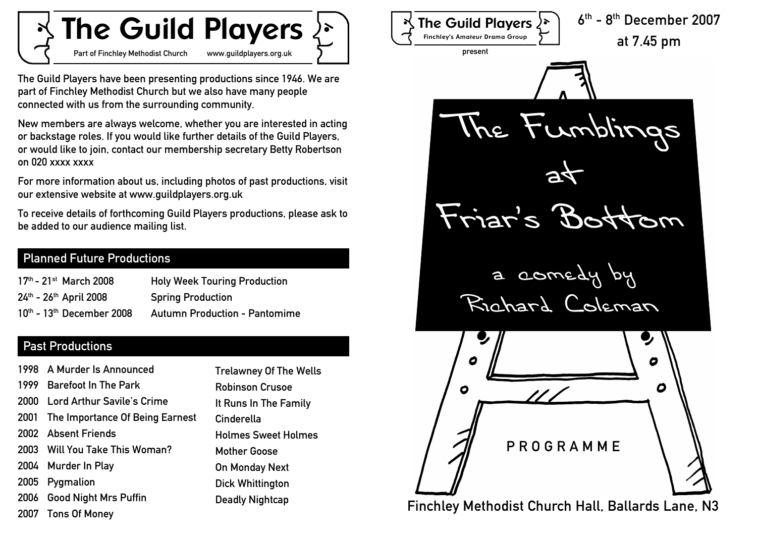# **The Guild Players**

Part of Finchley Methodist Church www.guildplayers.org.uk

The Guild Players have been presenting productions since 1946. We are part of Finchley Methodist Church but we also have many people connected with us from the surrounding community.

New members are always welcome, whether you are interested in acting or backstage roles. If you would like further details of the Guild Players, or would like to join, contact our membership secretary Betty Robertson on 020 xxxx xxxx

For more information about us, including photos of past productions, visit our extensive website at www.guildplayers.org.uk

To receive details of forthcoming Guild Players productions, please ask to be added to our audience mailing list.

#### Planned Future Productions

| $17th$ - 21 <sup>st</sup> March 2008 | <b>Holy Week Touring Production</b>  |
|--------------------------------------|--------------------------------------|
| 24th - 26th April 2008               | <b>Spring Production</b>             |
| $10th$ - $13th$ December 2008        | <b>Autumn Production - Pantomime</b> |

### Past Productions

|      | 1998 A Murder Is Announced           | <b>Trelawney Of The Wells</b> |
|------|--------------------------------------|-------------------------------|
|      | 1999 Barefoot In The Park            | <b>Robinson Crusoe</b>        |
|      | 2000 Lord Arthur Savile's Crime      | It Runs In The Family         |
|      | 2001 The Importance Of Being Earnest | Cinderella                    |
|      | 2002 Absent Friends                  | <b>Holmes Sweet Holmes</b>    |
|      | 2003 Will You Take This Woman?       | <b>Mother Goose</b>           |
|      | 2004 Murder In Play                  | On Monday Next                |
| 2005 | Pygmalion                            | Dick Whittington              |
|      | 2006 Good Night Mrs Puffin           | <b>Deadly Nightcap</b>        |
|      | 2007 Tons Of Money                   |                               |

6 th - 8th December 2007 **The Guild Players Finchley's Amateur Drama Group** at 7.45 pm present The Fumblings  $a$ Friar s Bottom a comedy by Richard Coleman  $\boldsymbol{c}$ 0  $\boldsymbol{c}$  $\bullet$ P R O G R A M M E Finchley Methodist Church Hall, Ballards Lane, N3